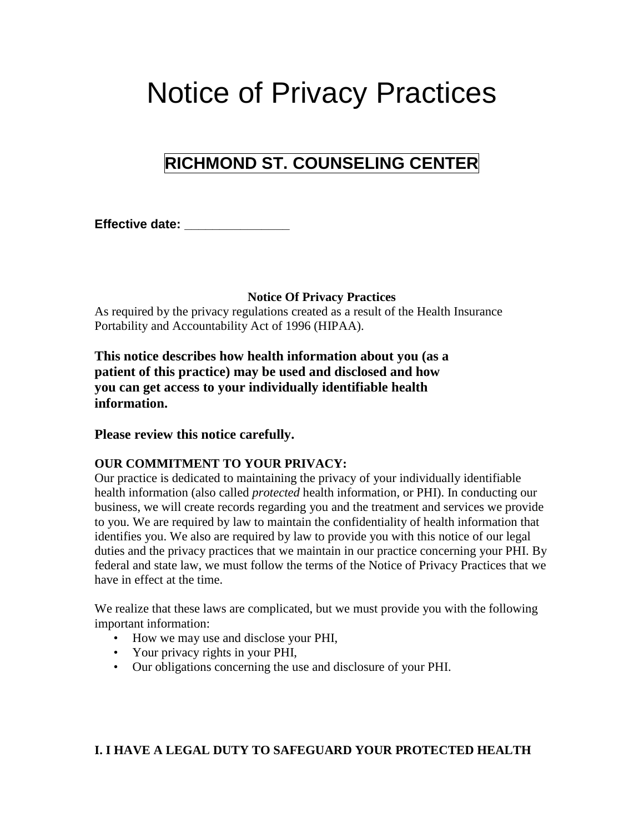# Notice of Privacy Practices

## **RICHMOND ST. COUNSELING CENTER**

**Effective date: \_\_\_\_\_\_\_\_\_\_\_\_\_\_\_**

**Notice Of Privacy Practices**

As required by the privacy regulations created as a result of the Health Insurance Portability and Accountability Act of 1996 (HIPAA).

**This notice describes how health information about you (as a patient of this practice) may be used and disclosed and how you can get access to your individually identifiable health information.** 

#### **Please review this notice carefully.**

#### **OUR COMMITMENT TO YOUR PRIVACY:**

Our practice is dedicated to maintaining the privacy of your individually identifiable health information (also called *protected* health information, or PHI). In conducting our business, we will create records regarding you and the treatment and services we provide to you. We are required by law to maintain the confidentiality of health information that identifies you. We also are required by law to provide you with this notice of our legal duties and the privacy practices that we maintain in our practice concerning your PHI. By federal and state law, we must follow the terms of the Notice of Privacy Practices that we have in effect at the time.

We realize that these laws are complicated, but we must provide you with the following important information:

- How we may use and disclose your PHI,
- Your privacy rights in your PHI,
- Our obligations concerning the use and disclosure of your PHI.

#### **I. I HAVE A LEGAL DUTY TO SAFEGUARD YOUR PROTECTED HEALTH**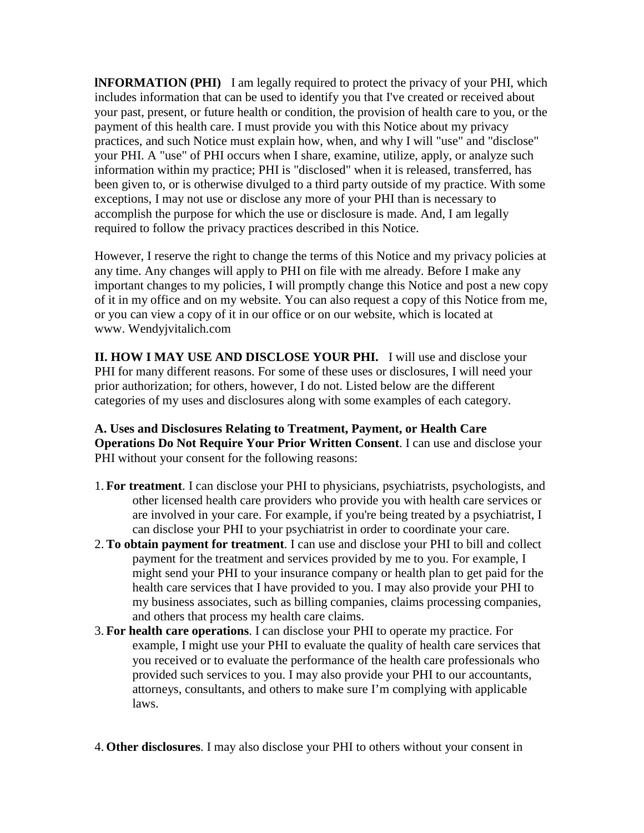**lNFORMATION (PHI)** I am legally required to protect the privacy of your PHI, which includes information that can be used to identify you that I've created or received about your past, present, or future health or condition, the provision of health care to you, or the payment of this health care. I must provide you with this Notice about my privacy practices, and such Notice must explain how, when, and why I will "use" and "disclose" your PHI. A "use" of PHI occurs when I share, examine, utilize, apply, or analyze such information within my practice; PHI is "disclosed" when it is released, transferred, has been given to, or is otherwise divulged to a third party outside of my practice. With some exceptions, I may not use or disclose any more of your PHI than is necessary to accomplish the purpose for which the use or disclosure is made. And, I am legally required to follow the privacy practices described in this Notice.

However, I reserve the right to change the terms of this Notice and my privacy policies at any time. Any changes will apply to PHI on file with me already. Before I make any important changes to my policies, I will promptly change this Notice and post a new copy of it in my office and on my website. You can also request a copy of this Notice from me, or you can view a copy of it in our office or on our website, which is located at www. Wendyjvitalich.com

**II. HOW I MAY USE AND DISCLOSE YOUR PHI.** I will use and disclose your PHI for many different reasons. For some of these uses or disclosures, I will need your prior authorization; for others, however, I do not. Listed below are the different categories of my uses and disclosures along with some examples of each category.

#### **A. Uses and Disclosures Relating to Treatment, Payment, or Health Care Operations Do Not Require Your Prior Written Consent**. I can use and disclose your PHI without your consent for the following reasons:

- 1. **For treatment**. I can disclose your PHI to physicians, psychiatrists, psychologists, and other licensed health care providers who provide you with health care services or are involved in your care. For example, if you're being treated by a psychiatrist, I can disclose your PHI to your psychiatrist in order to coordinate your care.
- 2. **To obtain payment for treatment**. I can use and disclose your PHI to bill and collect payment for the treatment and services provided by me to you. For example, I might send your PHI to your insurance company or health plan to get paid for the health care services that I have provided to you. I may also provide your PHI to my business associates, such as billing companies, claims processing companies, and others that process my health care claims.
- 3. **For health care operations**. I can disclose your PHI to operate my practice. For example, I might use your PHI to evaluate the quality of health care services that you received or to evaluate the performance of the health care professionals who provided such services to you. I may also provide your PHI to our accountants, attorneys, consultants, and others to make sure I'm complying with applicable laws.
- 4. **Other disclosures**. I may also disclose your PHI to others without your consent in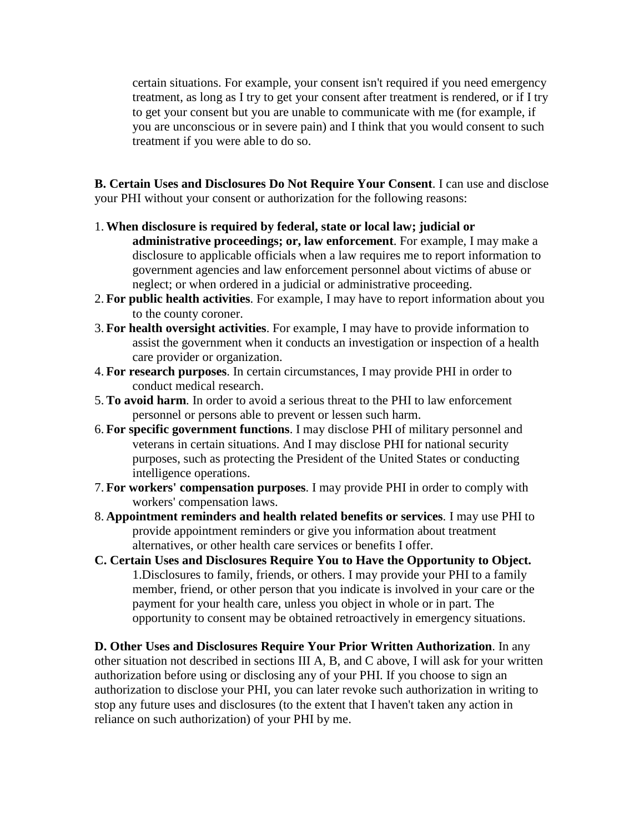certain situations. For example, your consent isn't required if you need emergency treatment, as long as I try to get your consent after treatment is rendered, or if I try to get your consent but you are unable to communicate with me (for example, if you are unconscious or in severe pain) and I think that you would consent to such treatment if you were able to do so.

**B. Certain Uses and Disclosures Do Not Require Your Consent**. I can use and disclose your PHI without your consent or authorization for the following reasons:

- 1. **When disclosure is required by federal, state or local law; judicial or administrative proceedings; or, law enforcement**. For example, I may make a disclosure to applicable officials when a law requires me to report information to government agencies and law enforcement personnel about victims of abuse or neglect; or when ordered in a judicial or administrative proceeding.
- 2. **For public health activities**. For example, I may have to report information about you to the county coroner.
- 3. **For health oversight activities**. For example, I may have to provide information to assist the government when it conducts an investigation or inspection of a health care provider or organization.
- 4. **For research purposes**. In certain circumstances, I may provide PHI in order to conduct medical research.
- 5. **To avoid harm**. In order to avoid a serious threat to the PHI to law enforcement personnel or persons able to prevent or lessen such harm.
- 6. **For specific government functions**. I may disclose PHI of military personnel and veterans in certain situations. And I may disclose PHI for national security purposes, such as protecting the President of the United States or conducting intelligence operations.
- 7. **For workers' compensation purposes**. I may provide PHI in order to comply with workers' compensation laws.
- 8. **Appointment reminders and health related benefits or services**. I may use PHI to provide appointment reminders or give you information about treatment alternatives, or other health care services or benefits I offer.
- **C. Certain Uses and Disclosures Require You to Have the Opportunity to Object.** 1.Disclosures to family, friends, or others. I may provide your PHI to a family member, friend, or other person that you indicate is involved in your care or the payment for your health care, unless you object in whole or in part. The opportunity to consent may be obtained retroactively in emergency situations.

**D. Other Uses and Disclosures Require Your Prior Written Authorization**. In any other situation not described in sections III A, B, and C above, I will ask for your written authorization before using or disclosing any of your PHI. If you choose to sign an authorization to disclose your PHI, you can later revoke such authorization in writing to stop any future uses and disclosures (to the extent that I haven't taken any action in reliance on such authorization) of your PHI by me.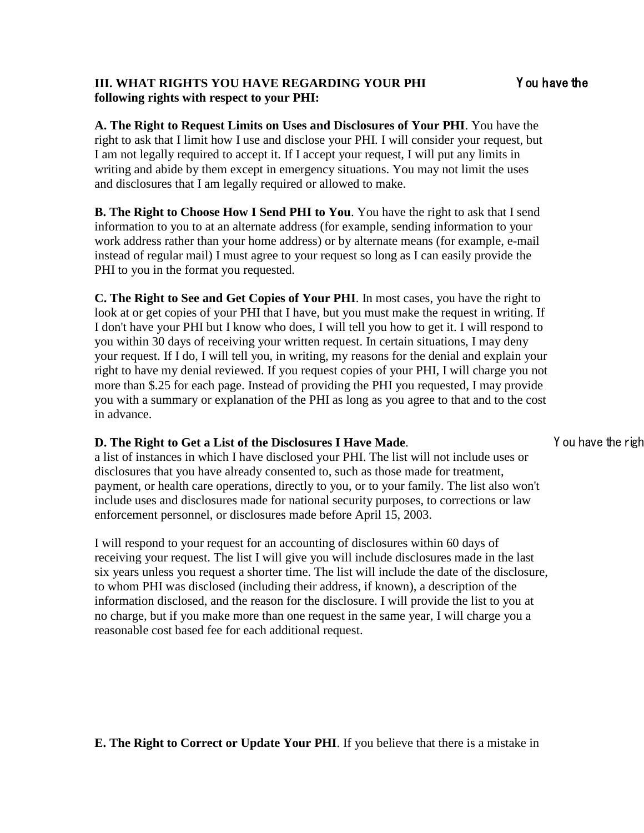#### **III. WHAT RIGHTS YOU HAVE REGARDING YOUR PHI** Y ou have the **following rights with respect to your PHI:**

**A. The Right to Request Limits on Uses and Disclosures of Your PHI**. You have the right to ask that I limit how I use and disclose your PHI. I will consider your request, but I am not legally required to accept it. If I accept your request, I will put any limits in writing and abide by them except in emergency situations. You may not limit the uses and disclosures that I am legally required or allowed to make.

**B. The Right to Choose How I Send PHI to You**. You have the right to ask that I send information to you to at an alternate address (for example, sending information to your work address rather than your home address) or by alternate means (for example, e-mail instead of regular mail) I must agree to your request so long as I can easily provide the PHI to you in the format you requested.

**C. The Right to See and Get Copies of Your PHI**. In most cases, you have the right to look at or get copies of your PHI that I have, but you must make the request in writing. If I don't have your PHI but I know who does, I will tell you how to get it. I will respond to you within 30 days of receiving your written request. In certain situations, I may deny your request. If I do, I will tell you, in writing, my reasons for the denial and explain your right to have my denial reviewed. If you request copies of your PHI, I will charge you not more than \$.25 for each page. Instead of providing the PHI you requested, I may provide you with a summary or explanation of the PHI as long as you agree to that and to the cost in advance.

### **D. The Right to Get a List of the Disclosures I Have Made.** You have the right

a list of instances in which I have disclosed your PHI. The list will not include uses or disclosures that you have already consented to, such as those made for treatment, payment, or health care operations, directly to you, or to your family. The list also won't include uses and disclosures made for national security purposes, to corrections or law enforcement personnel, or disclosures made before April 15, 2003.

I will respond to your request for an accounting of disclosures within 60 days of receiving your request. The list I will give you will include disclosures made in the last six years unless you request a shorter time. The list will include the date of the disclosure, to whom PHI was disclosed (including their address, if known), a description of the information disclosed, and the reason for the disclosure. I will provide the list to you at no charge, but if you make more than one request in the same year, I will charge you a reasonable cost based fee for each additional request.

#### **E. The Right to Correct or Update Your PHI**. If you believe that there is a mistake in